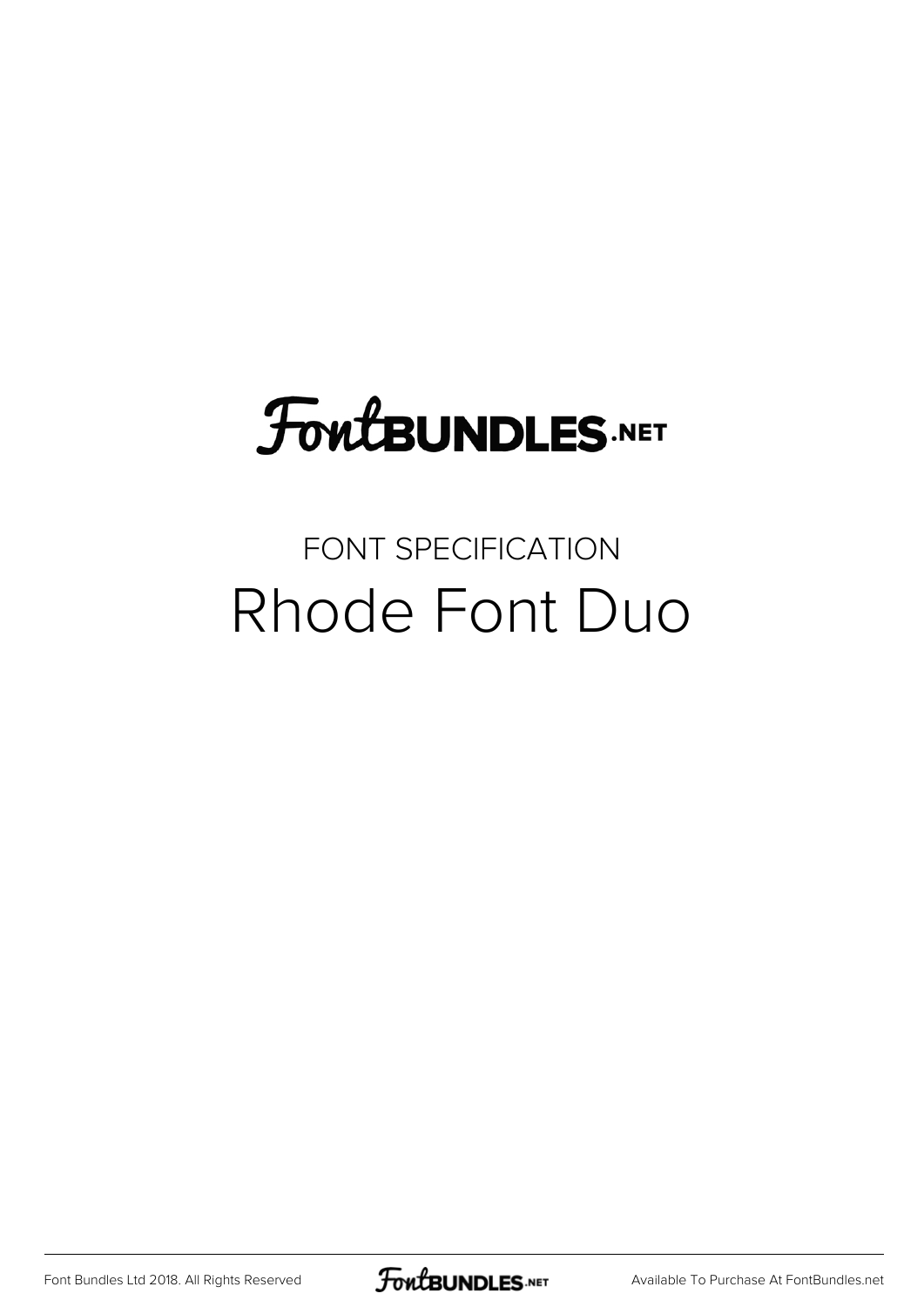# **FoutBUNDLES.NET**

## FONT SPECIFICATION Rhode Font Duo

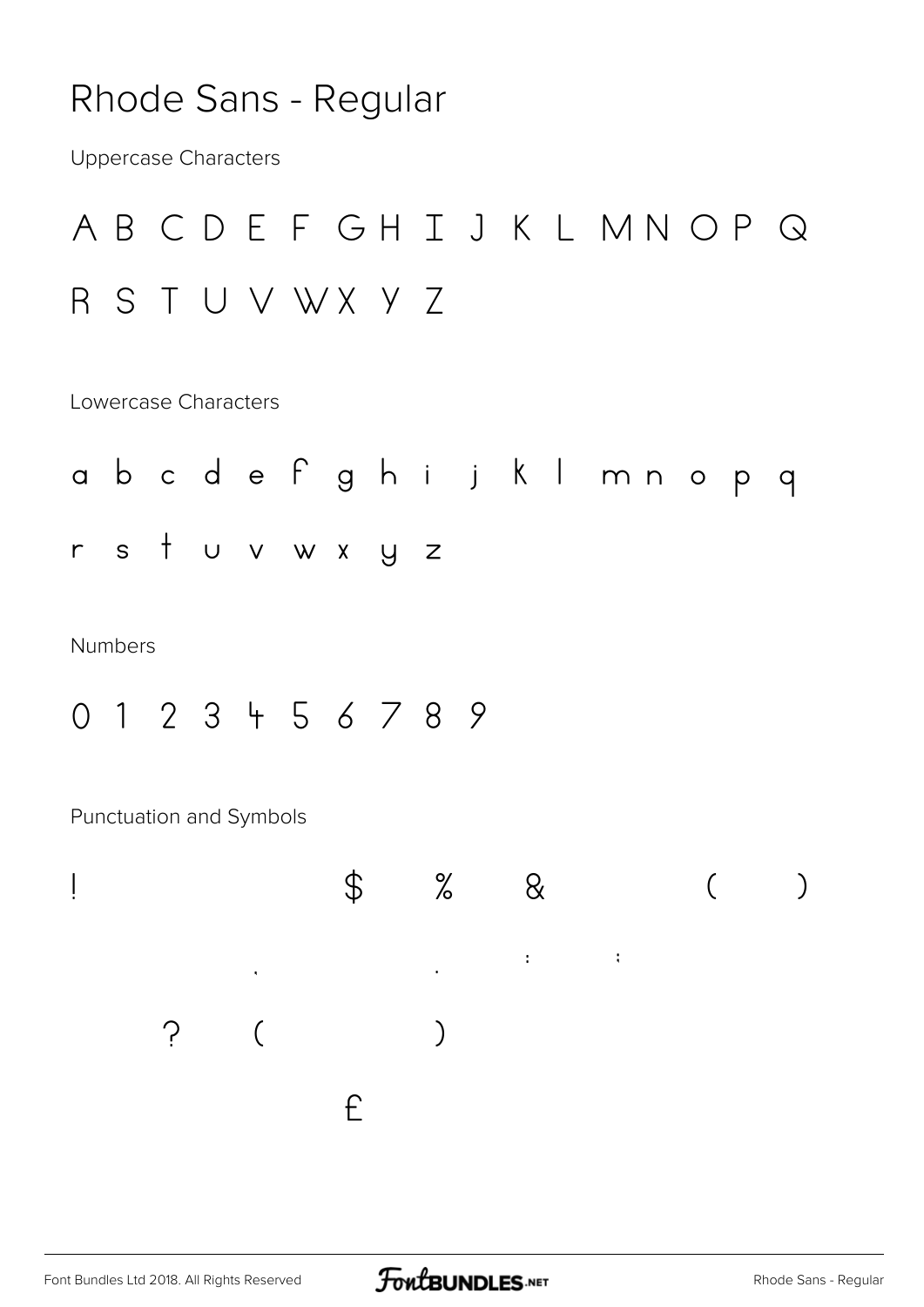### Rhode Sans - Regular

**Uppercase Characters** 

## ABCDEFGHIJKLMNOPQ R S T U V W X Y Z

Lowercase Characters



**Numbers** 

0 1 2 3 4 5 6 7 8 9

#### **Punctuation and Symbols**

|  |  | $\frac{1}{2}$ $\frac{1}{2}$ $\frac{1}{2}$ $\frac{1}{2}$ $\frac{1}{2}$ $\frac{1}{2}$ $\frac{1}{2}$ $\frac{1}{2}$ $\frac{1}{2}$ $\frac{1}{2}$ $\frac{1}{2}$ $\frac{1}{2}$ $\frac{1}{2}$ $\frac{1}{2}$ $\frac{1}{2}$ $\frac{1}{2}$ $\frac{1}{2}$ $\frac{1}{2}$ $\frac{1}{2}$ $\frac{1}{2}$ $\frac{1}{2}$ $\frac{1}{2}$ |  |  |
|--|--|---------------------------------------------------------------------------------------------------------------------------------------------------------------------------------------------------------------------------------------------------------------------------------------------------------------------|--|--|
|  |  | $*$ + $     -$                                                                                                                                                                                                                                                                                                      |  |  |
|  |  |                                                                                                                                                                                                                                                                                                                     |  |  |
|  |  |                                                                                                                                                                                                                                                                                                                     |  |  |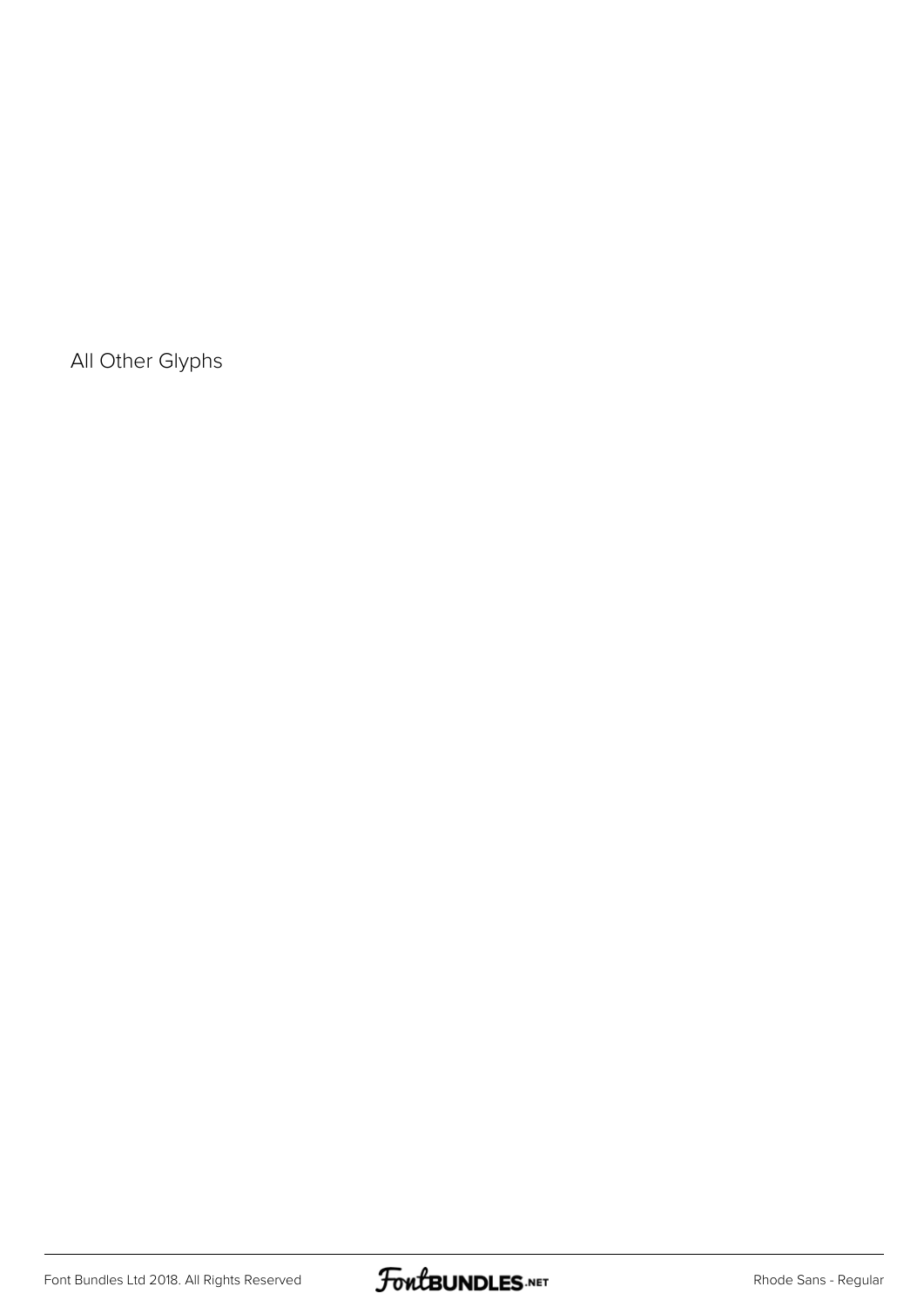

#### All Other Glyphs

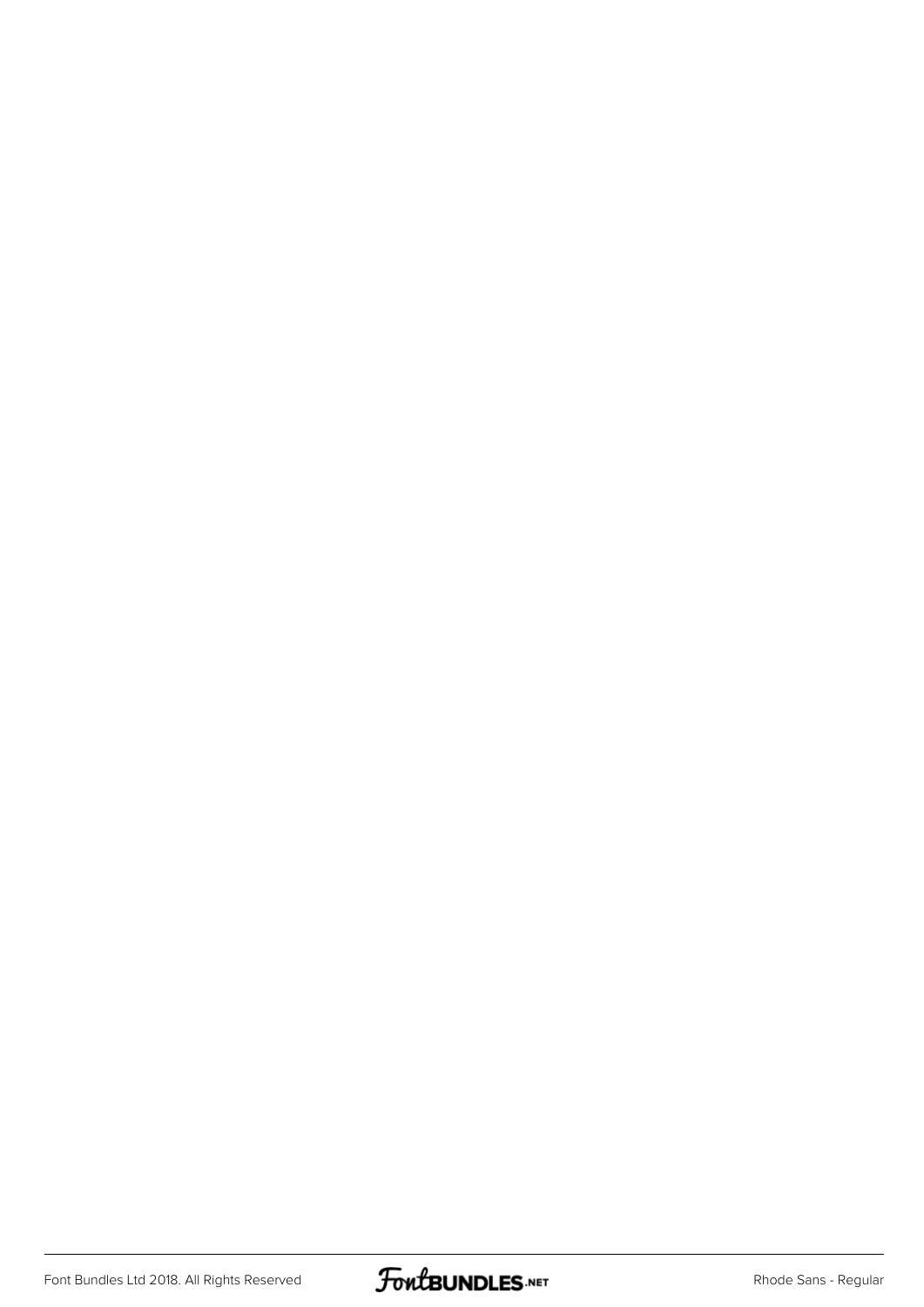

ÿ

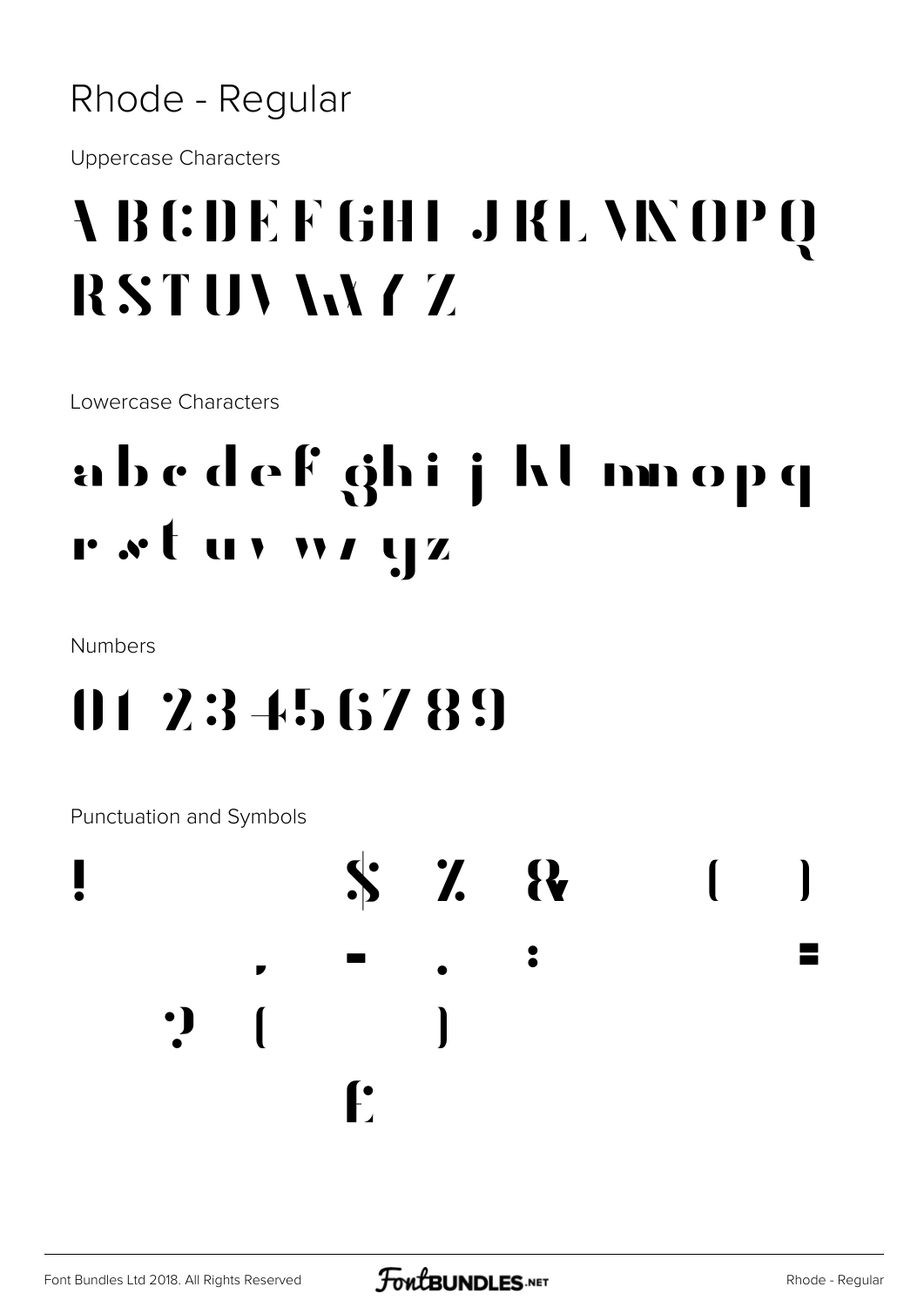### Rhode - Regular

**Uppercase Characters** 

# ABCDEFGHI JRLANOPO RSTUVNYZ

Lowercase Characters

# abedef ghi j kl mopq r et uv wz yz

**Numbers** 

## $0123456789$

Punctuation and Symbols

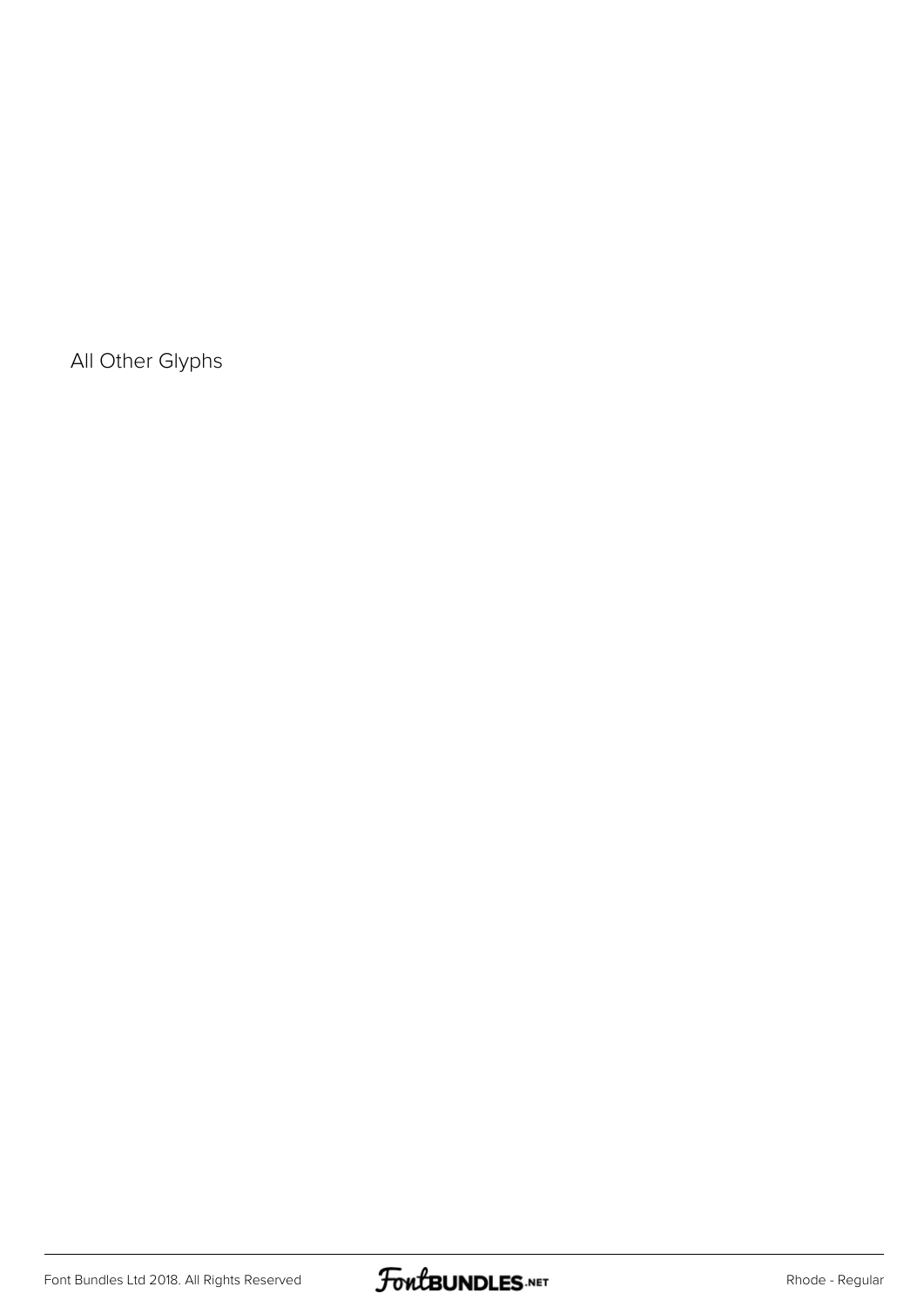

All Other Glyphs